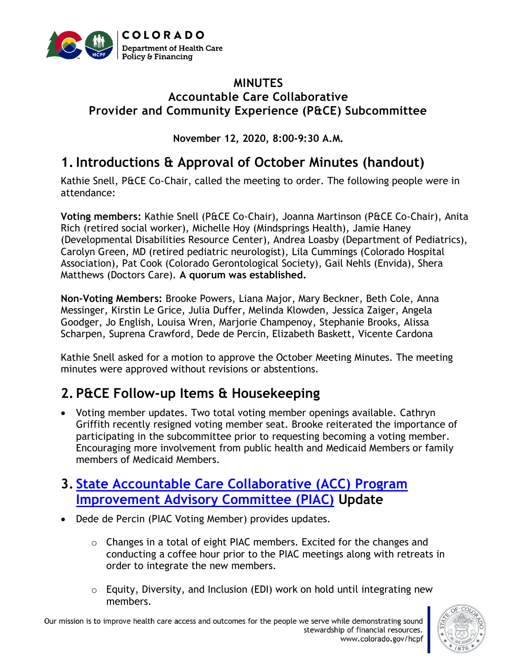

#### **MINUTES Accountable Care Collaborative Provider and Community Experience (P&CE) Subcommittee**

**November 12, 2020, 8:00-9:30 A.M.**

## **1.Introductions & Approval of October Minutes (handout)**

Kathie Snell, P&CE Co-Chair, called the meeting to order. The following people were in attendance:

**Voting members:** Kathie Snell (P&CE Co-Chair), Joanna Martinson (P&CE Co-Chair), Anita Rich (retired social worker), Michelle Hoy (Mindsprings Health), Jamie Haney (Developmental Disabilities Resource Center), Andrea Loasby (Department of Pediatrics), Carolyn Green, MD (retired pediatric neurologist), Lila Cummings (Colorado Hospital Association), Pat Cook (Colorado Gerontological Society), Gail Nehls (Envida), Shera Matthews (Doctors Care). **A quorum was established.**

**Non-Voting Members:** Brooke Powers, Liana Major, Mary Beckner, Beth Cole, Anna Messinger, Kirstin Le Grice, Julia Duffer, Melinda Klowden, Jessica Zaiger, Angela Goodger, Jo English, Louisa Wren, Marjorie Champenoy, Stephanie Brooks, Alissa Scharpen, Suprena Crawford, Dede de Percin, Elizabeth Baskett, Vicente Cardona

Kathie Snell asked for a motion to approve the October Meeting Minutes. The meeting minutes were approved without revisions or abstentions.

# **2. P&CE Follow-up Items & Housekeeping**

• Voting member updates. Two total voting member openings available. Cathryn Griffith recently resigned voting member seat. Brooke reiterated the importance of participating in the subcommittee prior to requesting becoming a voting member. Encouraging more involvement from public health and Medicaid Members or family members of Medicaid Members.

## **3. [State Accountable Care Collaborative \(ACC\)](https://www.colorado.gov/pacific/hcpf/accountable-care-collaborative-program-improvement-advisory-committee) Program [Improvement Advisory Committee \(PIAC\)](https://www.colorado.gov/pacific/hcpf/accountable-care-collaborative-program-improvement-advisory-committee) Update**

- Dede de Percin (PIAC Voting Member) provides updates.
	- $\circ$  Changes in a total of eight PIAC members. Excited for the changes and conducting a coffee hour prior to the PIAC meetings along with retreats in order to integrate the new members.
	- o Equity, Diversity, and Inclusion (EDI) work on hold until integrating new members.

Our mission is to improve health care access and outcomes for the people we serve while demonstrating sound stewardship of financial resources. www.colorado.gov/hcpf

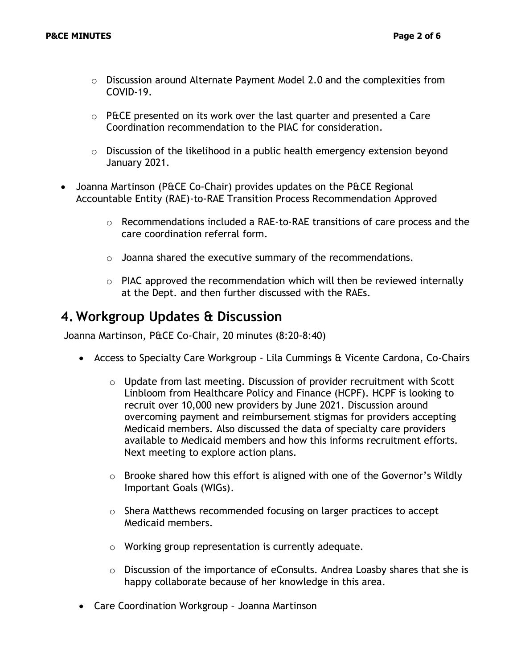- o Discussion around Alternate Payment Model 2.0 and the complexities from COVID-19.
- $\circ$  P&CE presented on its work over the last quarter and presented a Care Coordination recommendation to the PIAC for consideration.
- $\circ$  Discussion of the likelihood in a public health emergency extension beyond January 2021.
- Joanna Martinson (P&CE Co-Chair) provides updates on the P&CE Regional Accountable Entity (RAE)-to-RAE Transition Process Recommendation Approved
	- $\circ$  Recommendations included a RAE-to-RAE transitions of care process and the care coordination referral form.
	- o Joanna shared the executive summary of the recommendations.
	- $\circ$  PIAC approved the recommendation which will then be reviewed internally at the Dept. and then further discussed with the RAEs.

### **4. Workgroup Updates & Discussion**

Joanna Martinson, P&CE Co-Chair, 20 minutes (8:20-8:40)

- Access to Specialty Care Workgroup Lila Cummings & Vicente Cardona, Co-Chairs
	- $\circ$  Update from last meeting. Discussion of provider recruitment with Scott Linbloom from Healthcare Policy and Finance (HCPF). HCPF is looking to recruit over 10,000 new providers by June 2021. Discussion around overcoming payment and reimbursement stigmas for providers accepting Medicaid members. Also discussed the data of specialty care providers available to Medicaid members and how this informs recruitment efforts. Next meeting to explore action plans.
	- o Brooke shared how this effort is aligned with one of the Governor's Wildly Important Goals (WIGs).
	- o Shera Matthews recommended focusing on larger practices to accept Medicaid members.
	- o Working group representation is currently adequate.
	- $\circ$  Discussion of the importance of eConsults. Andrea Loasby shares that she is happy collaborate because of her knowledge in this area.
- Care Coordination Workgroup Joanna Martinson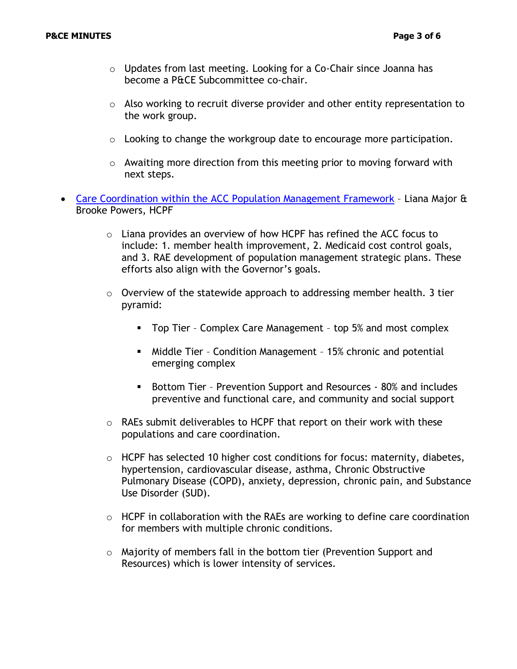- $\circ$  Updates from last meeting. Looking for a Co-Chair since Joanna has become a P&CE Subcommittee co-chair.
- o Also working to recruit diverse provider and other entity representation to the work group.
- o Looking to change the workgroup date to encourage more participation.
- o Awaiting more direction from this meeting prior to moving forward with next steps.
- Care Coordination [within the ACC Population Management Framework](https://www.colorado.gov/pacific/sites/default/files/Provider%20and%20Community%20Experience%20PIAC%20Subcommittee%20PowerPoint%20November%202020.pdf) Liana Major & Brooke Powers, HCPF
	- $\circ$  Liana provides an overview of how HCPF has refined the ACC focus to include: 1. member health improvement, 2. Medicaid cost control goals, and 3. RAE development of population management strategic plans. These efforts also align with the Governor's goals.
	- o Overview of the statewide approach to addressing member health. 3 tier pyramid:
		- Top Tier Complex Care Management top 5% and most complex
		- Middle Tier Condition Management 15% chronic and potential emerging complex
		- Bottom Tier Prevention Support and Resources 80% and includes preventive and functional care, and community and social support
	- o RAEs submit deliverables to HCPF that report on their work with these populations and care coordination.
	- $\circ$  HCPF has selected 10 higher cost conditions for focus: maternity, diabetes, hypertension, cardiovascular disease, asthma, Chronic Obstructive Pulmonary Disease (COPD), anxiety, depression, chronic pain, and Substance Use Disorder (SUD).
	- o HCPF in collaboration with the RAEs are working to define care coordination for members with multiple chronic conditions.
	- $\circ$  Majority of members fall in the bottom tier (Prevention Support and Resources) which is lower intensity of services.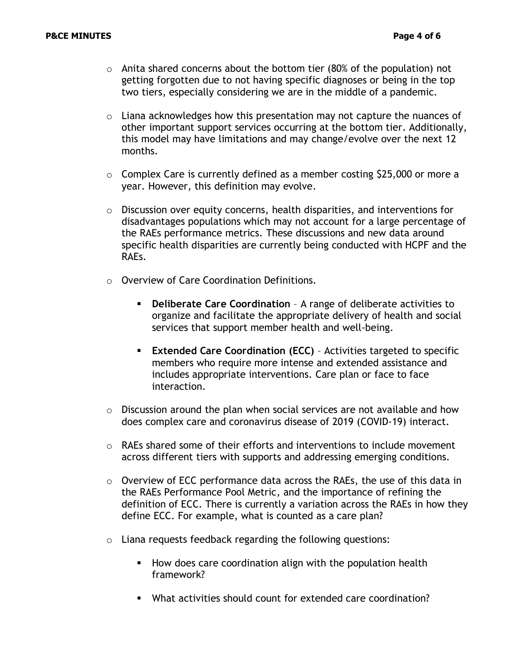- $\circ$  Anita shared concerns about the bottom tier (80% of the population) not getting forgotten due to not having specific diagnoses or being in the top two tiers, especially considering we are in the middle of a pandemic.
- $\circ$  Liana acknowledges how this presentation may not capture the nuances of other important support services occurring at the bottom tier. Additionally, this model may have limitations and may change/evolve over the next 12 months.
- $\circ$  Complex Care is currently defined as a member costing \$25,000 or more a year. However, this definition may evolve.
- o Discussion over equity concerns, health disparities, and interventions for disadvantages populations which may not account for a large percentage of the RAEs performance metrics. These discussions and new data around specific health disparities are currently being conducted with HCPF and the RAEs.
- o Overview of Care Coordination Definitions.
	- **Deliberate Care Coordination** A range of deliberate activities to organize and facilitate the appropriate delivery of health and social services that support member health and well-being.
	- **Extended Care Coordination (ECC)** Activities targeted to specific members who require more intense and extended assistance and includes appropriate interventions. Care plan or face to face interaction.
- $\circ$  Discussion around the plan when social services are not available and how does complex care and coronavirus disease of 2019 (COVID-19) interact.
- $\circ$  RAEs shared some of their efforts and interventions to include movement across different tiers with supports and addressing emerging conditions.
- $\circ$  Overview of ECC performance data across the RAEs, the use of this data in the RAEs Performance Pool Metric, and the importance of refining the definition of ECC. There is currently a variation across the RAEs in how they define ECC. For example, what is counted as a care plan?
- o Liana requests feedback regarding the following questions:
	- How does care coordination align with the population health framework?
	- What activities should count for extended care coordination?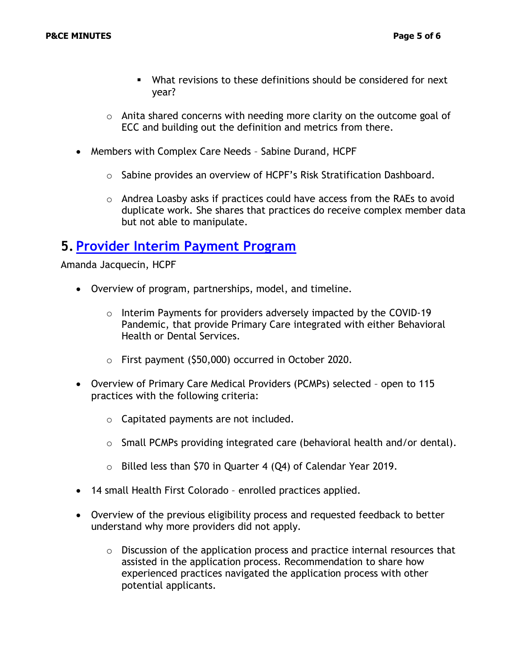- What revisions to these definitions should be considered for next year?
- $\circ$  Anita shared concerns with needing more clarity on the outcome goal of ECC and building out the definition and metrics from there.
- Members with Complex Care Needs Sabine Durand, HCPF
	- o Sabine provides an overview of HCPF's Risk Stratification Dashboard.
	- o Andrea Loasby asks if practices could have access from the RAEs to avoid duplicate work. She shares that practices do receive complex member data but not able to manipulate.

## **5. [Provider Interim Payment Program](https://www.colorado.gov/hcpf/integrated-care-provider)**

Amanda Jacquecin, HCPF

- Overview of program, partnerships, model, and timeline.
	- o Interim Payments for providers adversely impacted by the COVID-19 Pandemic, that provide Primary Care integrated with either Behavioral Health or Dental Services.
	- o First payment (\$50,000) occurred in October 2020.
- Overview of Primary Care Medical Providers (PCMPs) selected open to 115 practices with the following criteria:
	- o Capitated payments are not included.
	- o Small PCMPs providing integrated care (behavioral health and/or dental).
	- o Billed less than \$70 in Quarter 4 (Q4) of Calendar Year 2019.
- 14 small Health First Colorado enrolled practices applied.
- Overview of the previous eligibility process and requested feedback to better understand why more providers did not apply.
	- $\circ$  Discussion of the application process and practice internal resources that assisted in the application process. Recommendation to share how experienced practices navigated the application process with other potential applicants.